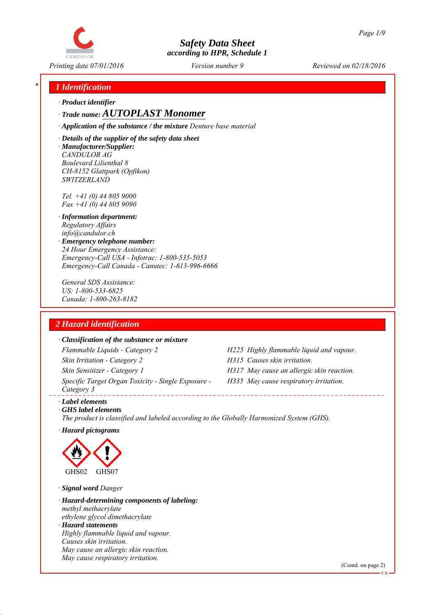

*Printing date 07/01/2016 Reviewed on 02/18/2016 Version number 9*

### *\* 1 Identification*

*∙ Product identifier*

*∙ Trade name: AUTOPLAST Monomer*

*∙ Application of the substance / the mixture Denture base material*

*∙ Details of the supplier of the safety data sheet ∙ Manufacturer/Supplier: CANDULOR AG Boulevard Lilienthal 8 CH-8152 Glattpark (Opfikon) SWITZERLAND*

*Tel. +41 (0) 44 805 9000 Fax +41 (0) 44 805 9090*

- *∙ Information department: Regulatory Affairs info@candulor.ch*
- *∙ Emergency telephone number: 24 Hour Emergency Assistance: Emergency-Call USA - Infotrac: 1-800-535-5053 Emergency-Call Canada - Canutec: 1-613-996-6666*

*General SDS Assistance: US: 1-800-533-6825 Canada: 1-800-263-8182*

### *2 Hazard identification*

#### *∙ Classification of the substance or mixture*

*Flammable Liquids - Category 2 H225 Highly flammable liquid and vapour. Skin Irritation - Category 2 H315 Causes skin irritation. Skin Sensitizer - Category 1 H317 May cause an allergic skin reaction. Specific Target Organ Toxicity - Single Exposure - Category 3* 

- 
- 
- *H335 May cause respiratory irritation.*

*∙ Label elements*

*∙ GHS label elements The product is classified and labeled according to the Globally Harmonized System (GHS).*

*∙ Hazard pictograms*



*∙ Signal word Danger*

*∙ Hazard-determining components of labeling: methyl methacrylate ethylene glycol dimethacrylate ∙ Hazard statements Highly flammable liquid and vapour. Causes skin irritation. May cause an allergic skin reaction. May cause respiratory irritation.*

(Contd. on page 2)

CA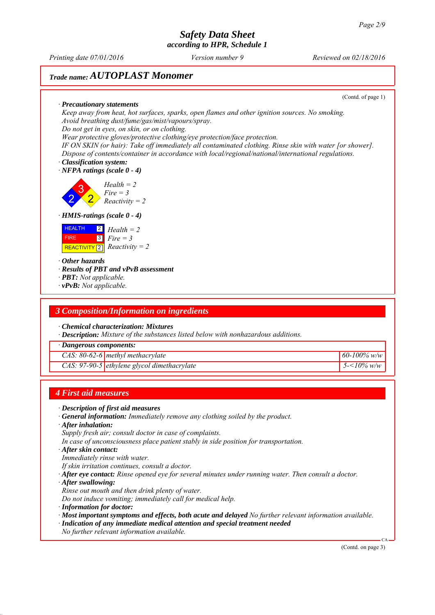*Printing date 07/01/2016 Reviewed on 02/18/2016 Version number 9*

## *Trade name: AUTOPLAST Monomer*

(Contd. of page 1)

*∙ Precautionary statements Keep away from heat, hot surfaces, sparks, open flames and other ignition sources. No smoking. Avoid breathing dust/fume/gas/mist/vapours/spray. Do not get in eyes, on skin, or on clothing.*

*Wear protective gloves/protective clothing/eye protection/face protection.*

*IF ON SKIN (or hair): Take off immediately all contaminated clothing. Rinse skin with water [or shower]. Dispose of contents/container in accordance with local/regional/national/international regulations.*

*∙ Classification system: ∙ NFPA ratings (scale 0 - 4)*

2 3 2 *Health = 2 Fire = 3 Reactivity = 2*

*∙ HMIS-ratings (scale 0 - 4)*

| <b>HEALTH</b> | $\boxed{2}$ Health = 2        |
|---------------|-------------------------------|
| <b>FIRE</b>   | $\blacksquare$ 3   $Fire = 3$ |
|               | REACTIVITY 2 $Recitivity = 2$ |

*∙ Other hazards*

*∙ Results of PBT and vPvB assessment*

- *∙ PBT: Not applicable.*
- *∙ vPvB: Not applicable.*

#### *3 Composition/Information on ingredients*

*∙ Chemical characterization: Mixtures*

*∙ Description: Mixture of the substances listed below with nonhazardous additions.*

*∙ Dangerous components:*

*CAS: 80-62-6 methyl methacrylate 60-100% w/w*

*CAS: 97-90-5 ethylene glycol dimethacrylate 5-<10% w/w*

#### *4 First aid measures*

- *∙ Description of first aid measures*
- *∙ General information: Immediately remove any clothing soiled by the product.*
- *∙ After inhalation:*
- *Supply fresh air; consult doctor in case of complaints.*
- *In case of unconsciousness place patient stably in side position for transportation.*
- *∙ After skin contact:*
- *Immediately rinse with water.*

*If skin irritation continues, consult a doctor.*

- *∙ After eye contact: Rinse opened eye for several minutes under running water. Then consult a doctor.*
- *∙ After swallowing:*
- *Rinse out mouth and then drink plenty of water.*
- *Do not induce vomiting; immediately call for medical help.*
- *∙ Information for doctor:*
- *∙ Most important symptoms and effects, both acute and delayed No further relevant information available.*
- *∙ Indication of any immediate medical attention and special treatment needed*
- *No further relevant information available.*

(Contd. on page 3)

CA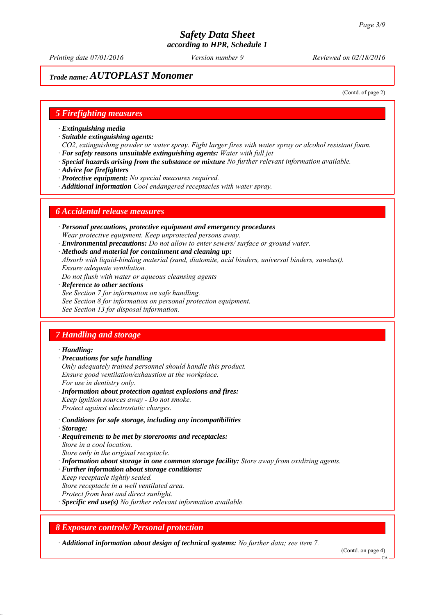*Printing date 07/01/2016 Reviewed on 02/18/2016 Version number 9*

## *Trade name: AUTOPLAST Monomer*

(Contd. of page 2)

#### *5 Firefighting measures*

- *∙ Extinguishing media*
- *∙ Suitable extinguishing agents:*
- *CO2, extinguishing powder or water spray. Fight larger fires with water spray or alcohol resistant foam. ∙ For safety reasons unsuitable extinguishing agents: Water with full jet*
- *∙ Special hazards arising from the substance or mixture No further relevant information available.*
- *∙ Advice for firefighters*
- *∙ Protective equipment: No special measures required.*
- *∙ Additional information Cool endangered receptacles with water spray.*

#### *6 Accidental release measures*

- *∙ Personal precautions, protective equipment and emergency procedures Wear protective equipment. Keep unprotected persons away.*
- *∙ Environmental precautions: Do not allow to enter sewers/ surface or ground water.*
- *∙ Methods and material for containment and cleaning up:*
- *Absorb with liquid-binding material (sand, diatomite, acid binders, universal binders, sawdust). Ensure adequate ventilation.*
- *Do not flush with water or aqueous cleansing agents*
- *∙ Reference to other sections*
- *See Section 7 for information on safe handling.*
- *See Section 8 for information on personal protection equipment.*
- *See Section 13 for disposal information.*

#### *7 Handling and storage*

#### *∙ Handling:*

- *∙ Precautions for safe handling*
- *Only adequately trained personnel should handle this product. Ensure good ventilation/exhaustion at the workplace. For use in dentistry only.*
- *∙ Information about protection against explosions and fires: Keep ignition sources away - Do not smoke. Protect against electrostatic charges.*
- *∙ Conditions for safe storage, including any incompatibilities*
- *∙ Storage:*
- *∙ Requirements to be met by storerooms and receptacles: Store in a cool location. Store only in the original receptacle.*
- *∙ Information about storage in one common storage facility: Store away from oxidizing agents.*
- *∙ Further information about storage conditions:*
- *Keep receptacle tightly sealed.*
- *Store receptacle in a well ventilated area.*
- *Protect from heat and direct sunlight.*
- *∙ Specific end use(s) No further relevant information available.*

#### *8 Exposure controls/ Personal protection*

*∙ Additional information about design of technical systems: No further data; see item 7.*

(Contd. on page 4)

 $CA$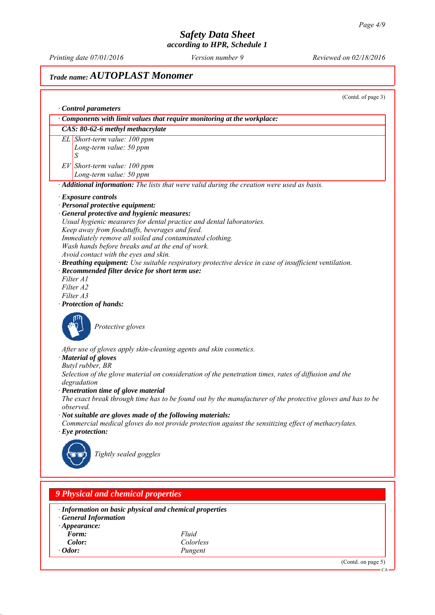CA

# *Safety Data Sheet*

## *according to HPR, Schedule 1 Printing date 07/01/2016 Reviewed on 02/18/2016 Version number 9 Trade name: AUTOPLAST Monomer* (Contd. of page 3) *∙ Control parameters ∙ Components with limit values that require monitoring at the workplace: CAS: 80-62-6 methyl methacrylate EL Short-term value: 100 ppm Long-term value: 50 ppm S EV Short-term value: 100 ppm Long-term value: 50 ppm ∙ Additional information: The lists that were valid during the creation were used as basis. ∙ Exposure controls ∙ Personal protective equipment: ∙ General protective and hygienic measures: Usual hygienic measures for dental practice and dental laboratories. Keep away from foodstuffs, beverages and feed. Immediately remove all soiled and contaminated clothing. Wash hands before breaks and at the end of work. Avoid contact with the eyes and skin. ∙ Breathing equipment: Use suitable respiratory protective device in case of insufficient ventilation. ∙ Recommended filter device for short term use: Filter A1 Filter A2 Filter A3 ∙ Protection of hands: Protective gloves After use of gloves apply skin-cleaning agents and skin cosmetics. ∙ Material of gloves Butyl rubber, BR Selection of the glove material on consideration of the penetration times, rates of diffusion and the degradation ∙ Penetration time of glove material The exact break through time has to be found out by the manufacturer of the protective gloves and has to be observed. ∙ Not suitable are gloves made of the following materials: Commercial medical gloves do not provide protection against the sensitizing effect of methacrylates. ∙ Eye protection: Tightly sealed goggles*

*9 Physical and chemical properties ∙ Information on basic physical and chemical properties ∙ General Information ∙ Appearance: Form: Fluid Color: Colorless ∙ Odor: Pungent* (Contd. on page 5)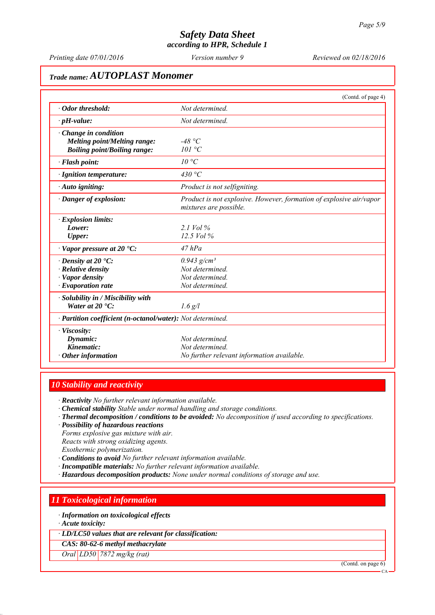*Printing date 07/01/2016 Reviewed on 02/18/2016 Version number 9*

## *Trade name: AUTOPLAST Monomer*

|                                                                                                           | (Contd. of page 4)                                                                            |
|-----------------------------------------------------------------------------------------------------------|-----------------------------------------------------------------------------------------------|
| · Odor threshold:                                                                                         | Not determined.                                                                               |
| $\cdot$ pH-value:                                                                                         | Not determined.                                                                               |
| $\cdot$ Change in condition<br><b>Melting point/Melting range:</b><br><b>Boiling point/Boiling range:</b> | -48 °C<br>101 °C                                                                              |
| · Flash point:                                                                                            | 10 °C                                                                                         |
| · Ignition temperature:                                                                                   | 430 °C                                                                                        |
| $\cdot$ Auto igniting:                                                                                    | Product is not selfigniting.                                                                  |
| · Danger of explosion:                                                                                    | Product is not explosive. However, formation of explosive air/vapor<br>mixtures are possible. |
| $\cdot$ Explosion limits:                                                                                 |                                                                                               |
| Lower:                                                                                                    | $21$ Vol %                                                                                    |
| <b>Upper:</b>                                                                                             | 12.5 Vol %                                                                                    |
| $\cdot$ Vapor pressure at 20 $\cdot$ C:                                                                   | $47$ $hPa$                                                                                    |
| $\cdot$ Density at 20 $\cdot$ C:                                                                          | $0.943$ g/cm <sup>3</sup>                                                                     |
| · Relative density                                                                                        | Not determined.                                                                               |
| · Vapor density                                                                                           | Not determined                                                                                |
| $\cdot$ Evaporation rate                                                                                  | Not determined.                                                                               |
| · Solubility in / Miscibility with                                                                        |                                                                                               |
| Water at $20^{\circ}$ C:                                                                                  | $1.6$ g/l                                                                                     |
| · Partition coefficient (n-octanol/water): Not determined.                                                |                                                                                               |
| $\cdot$ Viscosity:                                                                                        |                                                                                               |
| Dynamic:                                                                                                  | Not determined.                                                                               |
| Kinematic:                                                                                                | Not determined.                                                                               |
| $\cdot$ Other information                                                                                 | No further relevant information available.                                                    |

#### *10 Stability and reactivity*

*∙ Reactivity No further relevant information available.*

- *∙ Chemical stability Stable under normal handling and storage conditions.*
- *∙ Thermal decomposition / conditions to be avoided: No decomposition if used according to specifications.*
- *∙ Possibility of hazardous reactions Forms explosive gas mixture with air. Reacts with strong oxidizing agents.*
- *Exothermic polymerization.*
- *∙ Conditions to avoid No further relevant information available.*
- *∙ Incompatible materials: No further relevant information available.*
- *∙ Hazardous decomposition products: None under normal conditions of storage and use.*

## *11 Toxicological information*

*∙ Information on toxicological effects*

*∙ Acute toxicity:*

*∙ LD/LC50 values that are relevant for classification:*

*CAS: 80-62-6 methyl methacrylate*

*Oral LD50 7872 mg/kg (rat)*

(Contd. on page 6)

CA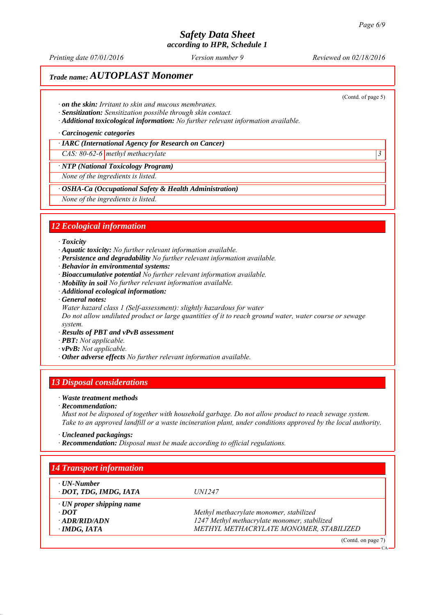*Printing date 07/01/2016 Reviewed on 02/18/2016 Version number 9*

## *Trade name: AUTOPLAST Monomer*

(Contd. of page 5)

- *∙ on the skin: Irritant to skin and mucous membranes.*
- *∙ Sensitization: Sensitization possible through skin contact.*
- *∙ Additional toxicological information: No further relevant information available.*

*∙ Carcinogenic categories*

*∙ IARC (International Agency for Research on Cancer)*

*CAS: 80-62-6 methyl methacrylate 3* 

#### *∙ NTP (National Toxicology Program)*

*None of the ingredients is listed.*

*∙ OSHA-Ca (Occupational Safety & Health Administration)*

*None of the ingredients is listed.*

#### *12 Ecological information*

#### *∙ Toxicity*

- *∙ Aquatic toxicity: No further relevant information available.*
- *∙ Persistence and degradability No further relevant information available.*
- *∙ Behavior in environmental systems:*
- *∙ Bioaccumulative potential No further relevant information available.*
- *∙ Mobility in soil No further relevant information available.*
- *∙ Additional ecological information:*
- *∙ General notes:*
- *Water hazard class 1 (Self-assessment): slightly hazardous for water*

*Do not allow undiluted product or large quantities of it to reach ground water, water course or sewage system.*

- *∙ Results of PBT and vPvB assessment*
- *∙ PBT: Not applicable.*
- *∙ vPvB: Not applicable.*
- *∙ Other adverse effects No further relevant information available.*

#### *13 Disposal considerations*

#### *∙ Waste treatment methods*

*∙ Recommendation:*

*Must not be disposed of together with household garbage. Do not allow product to reach sewage system. Take to an approved landfill or a waste incineration plant, under conditions approved by the local authority.*

*∙ Uncleaned packagings:*

*∙ Recommendation: Disposal must be made according to official regulations.*

| $\cdot$ UN-Number               |                                              |
|---------------------------------|----------------------------------------------|
| DOT, TDG, IMDG, IATA            | <i>UN1247</i>                                |
| $\cdot$ UN proper shipping name |                                              |
| $\cdot$ DOT                     | Methyl methacrylate monomer, stabilized      |
| $\cdot$ ADR/RID/ADN             | 1247 Methyl methacrylate monomer, stabilized |
| $\cdot$ IMDG, IATA              | METHYL METHACRYLATE MONOMER, STABILIZED      |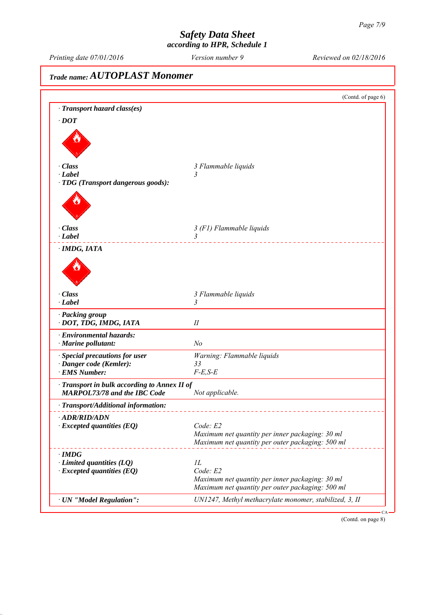*Printing date 07/01/2016 Reviewed on 02/18/2016 Version number 9*

# *Trade name: AUTOPLAST Monomer* (Contd. of page 6) *∙ Transport hazard class(es) ∙ DOT ∙ Class 3 Flammable liquids ∙ Label 3 ∙ TDG (Transport dangerous goods): ∙ Class 3 (F1) Flammable liquids ∙ Label 3 ∙ IMDG, IATA ∙ Class 3 Flammable liquids ∙ Label 3 ∙ Packing group ∙ DOT, TDG, IMDG, IATA II ∙ Environmental hazards: ∙ Marine pollutant: No ∙ Special precautions for user Warning: Flammable liquids ∙ Danger code (Kemler): 33 ∤ <i>EMS Number: ∙ Transport in bulk according to Annex II of MARPOL73/78 and the IBC Code Not applicable. ∙ Transport/Additional information: ∙ ADR/RID/ADN ∙ Excepted quantities (EQ) Code: E2 Maximum net quantity per inner packaging: 30 ml Maximum net quantity per outer packaging: 500 ml ∙ IMDG ∂ Limited quantities (LQ) 1L*<br>*∙ Excepted quantities (EO) Code: E2 ∤ <i>Excepted quantities (EQ) Maximum net quantity per inner packaging: 30 ml Maximum net quantity per outer packaging: 500 ml ∙ UN "Model Regulation": UN1247, Methyl methacrylate monomer, stabilized, 3, II* CA

(Contd. on page 8)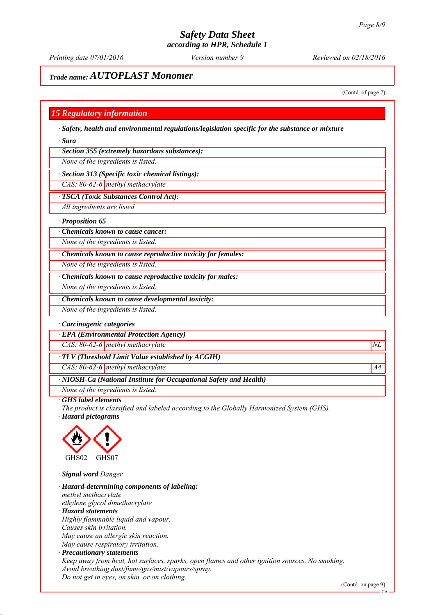*Printing date 07/01/2016 Reviewed on 02/18/2016 Version number 9*

### *Trade name: AUTOPLAST Monomer*

(Contd. of page 7)

#### *15 Regulatory information*

*∙ Safety, health and environmental regulations/legislation specific for the substance or mixture*

*∙ Sara*

*∙ Section 355 (extremely hazardous substances):*

*None of the ingredients is listed.*

*∙ Section 313 (Specific toxic chemical listings):*

*CAS: 80-62-6 methyl methacrylate*

*∙ TSCA (Toxic Substances Control Act):*

*All ingredients are listed.*

*∙ Proposition 65*

*∙ Chemicals known to cause cancer:*

*None of the ingredients is listed.*

*∙ Chemicals known to cause reproductive toxicity for females:*

*None of the ingredients is listed.*

*∙ Chemicals known to cause reproductive toxicity for males:*

*None of the ingredients is listed.*

*∙ Chemicals known to cause developmental toxicity:*

*None of the ingredients is listed.*

#### *∙ Carcinogenic categories*

*∙ EPA (Environmental Protection Agency)*

*CAS: 80-62-6 methyl methacrylate*  $NL$ 

*∙ TLV (Threshold Limit Value established by ACGIH)*

*CAS: 80-62-6 methyl methacrylate* A4<sup>4</sup>

*∙ NIOSH-Ca (National Institute for Occupational Safety and Health)*

*None of the ingredients is listed.*

*∙ GHS label elements*

*The product is classified and labeled according to the Globally Harmonized System (GHS).*

*∙ Hazard pictograms*



*∙ Signal word Danger*

*∙ Hazard-determining components of labeling: methyl methacrylate ethylene glycol dimethacrylate ∙ Hazard statements Highly flammable liquid and vapour. Causes skin irritation. May cause an allergic skin reaction. May cause respiratory irritation. ∙ Precautionary statements Keep away from heat, hot surfaces, sparks, open flames and other ignition sources. No smoking. Avoid breathing dust/fume/gas/mist/vapours/spray.*

*Do not get in eyes, on skin, or on clothing.*

(Contd. on page 9)